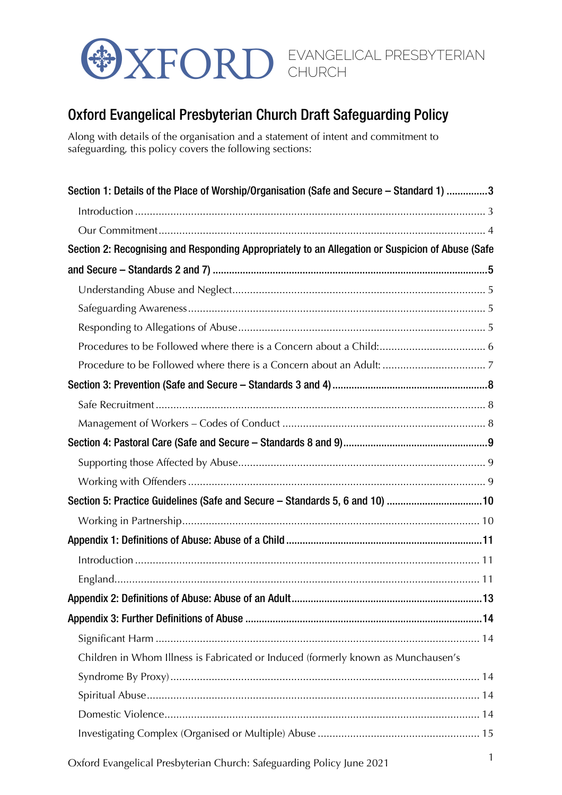

# Oxford Evangelical Presbyterian Church Draft Safeguarding Policy

Along with details of the organisation and a statement of intent and commitment to safeguarding, this policy covers the following sections:

| Section 1: Details of the Place of Worship/Organisation (Safe and Secure – Standard 1) 3                                                                                |  |
|-------------------------------------------------------------------------------------------------------------------------------------------------------------------------|--|
|                                                                                                                                                                         |  |
|                                                                                                                                                                         |  |
| Section 2: Recognising and Responding Appropriately to an Allegation or Suspicion of Abuse (Safe                                                                        |  |
|                                                                                                                                                                         |  |
|                                                                                                                                                                         |  |
|                                                                                                                                                                         |  |
|                                                                                                                                                                         |  |
|                                                                                                                                                                         |  |
|                                                                                                                                                                         |  |
|                                                                                                                                                                         |  |
|                                                                                                                                                                         |  |
|                                                                                                                                                                         |  |
|                                                                                                                                                                         |  |
|                                                                                                                                                                         |  |
|                                                                                                                                                                         |  |
| Section 5: Practice Guidelines (Safe and Secure - Standards 5, 6 and 10) 10                                                                                             |  |
|                                                                                                                                                                         |  |
|                                                                                                                                                                         |  |
|                                                                                                                                                                         |  |
|                                                                                                                                                                         |  |
|                                                                                                                                                                         |  |
|                                                                                                                                                                         |  |
|                                                                                                                                                                         |  |
| Children in Whom Illness is Fabricated or Induced (formerly known as Munchausen's                                                                                       |  |
|                                                                                                                                                                         |  |
|                                                                                                                                                                         |  |
|                                                                                                                                                                         |  |
|                                                                                                                                                                         |  |
| $\begin{bmatrix} 1 & 1 & 1 \end{bmatrix}$ $\begin{bmatrix} 1 & 1 & 0 \end{bmatrix}$ $\begin{bmatrix} 1 & 1 & 0 \end{bmatrix}$ $\begin{bmatrix} 1 & 1 & 0 \end{bmatrix}$ |  |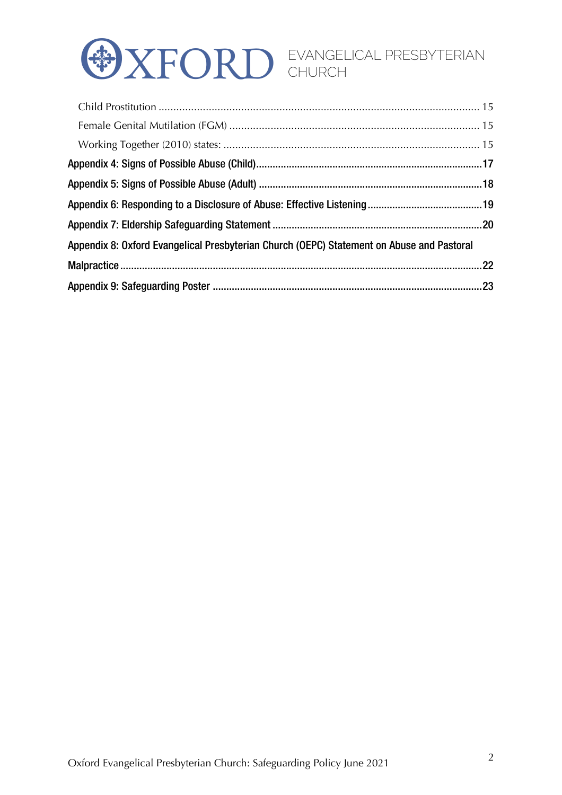

| Appendix 8: Oxford Evangelical Presbyterian Church (OEPC) Statement on Abuse and Pastoral |  |
|-------------------------------------------------------------------------------------------|--|
|                                                                                           |  |
|                                                                                           |  |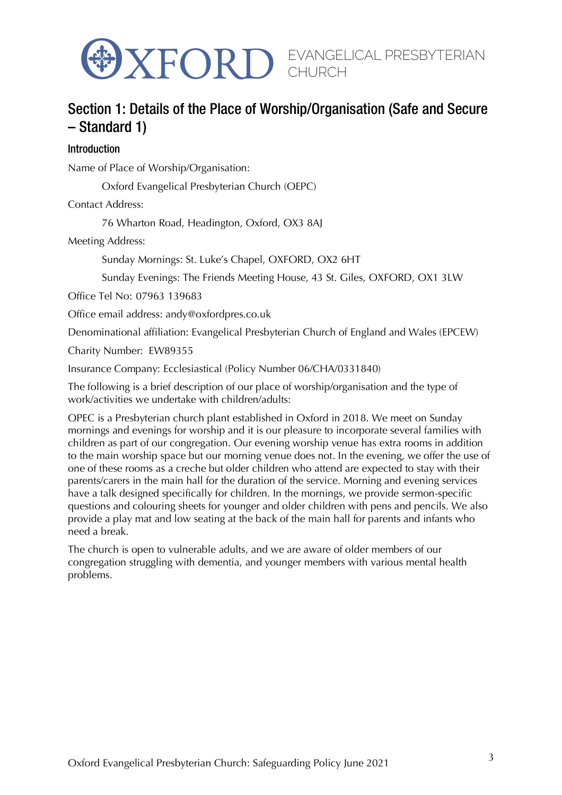

# Section 1: Details of the Place of Worship/Organisation (Safe and Secure – Standard 1)

## Introduction

Name of Place of Worship/Organisation:

Oxford Evangelical Presbyterian Church (OEPC)

Contact Address:

76 Wharton Road, Headington, Oxford, OX3 8AJ

Meeting Address:

Sunday Mornings: St. Luke's Chapel, OXFORD, OX2 6HT

Sunday Evenings: The Friends Meeting House, 43 St. Giles, OXFORD, OX1 3LW

Office Tel No: 07963 139683

Office email address: andy@oxfordpres.co.uk

Denominational affiliation: Evangelical Presbyterian Church of England and Wales (EPCEW)

Charity Number: EW89355

Insurance Company: Ecclesiastical (Policy Number 06/CHA/0331840)

The following is a brief description of our place of worship/organisation and the type of work/activities we undertake with children/adults:

OPEC is a Presbyterian church plant established in Oxford in 2018. We meet on Sunday mornings and evenings for worship and it is our pleasure to incorporate several families with children as part of our congregation. Our evening worship venue has extra rooms in addition to the main worship space but our morning venue does not. In the evening, we offer the use of one of these rooms as a creche but older children who attend are expected to stay with their parents/carers in the main hall for the duration of the service. Morning and evening services have a talk designed specifically for children. In the mornings, we provide sermon-specific questions and colouring sheets for younger and older children with pens and pencils. We also provide a play mat and low seating at the back of the main hall for parents and infants who need a break.

The church is open to vulnerable adults, and we are aware of older members of our congregation struggling with dementia, and younger members with various mental health problems.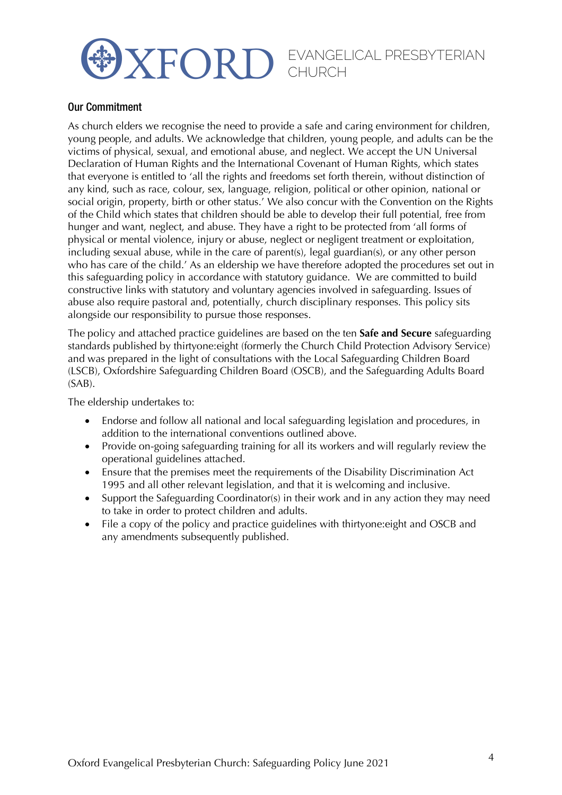

**XFORD** EVANGELICAL PRESBYTERIAN

## Our Commitment

As church elders we recognise the need to provide a safe and caring environment for children, young people, and adults. We acknowledge that children, young people, and adults can be the victims of physical, sexual, and emotional abuse, and neglect. We accept the UN Universal Declaration of Human Rights and the International Covenant of Human Rights, which states that everyone is entitled to 'all the rights and freedoms set forth therein, without distinction of any kind, such as race, colour, sex, language, religion, political or other opinion, national or social origin, property, birth or other status.' We also concur with the Convention on the Rights of the Child which states that children should be able to develop their full potential, free from hunger and want, neglect, and abuse. They have a right to be protected from 'all forms of physical or mental violence, injury or abuse, neglect or negligent treatment or exploitation, including sexual abuse, while in the care of parent(s), legal guardian(s), or any other person who has care of the child.' As an eldership we have therefore adopted the procedures set out in this safeguarding policy in accordance with statutory guidance. We are committed to build constructive links with statutory and voluntary agencies involved in safeguarding. Issues of abuse also require pastoral and, potentially, church disciplinary responses. This policy sits alongside our responsibility to pursue those responses.

The policy and attached practice guidelines are based on the ten **Safe and Secure** safeguarding standards published by thirtyone:eight (formerly the Church Child Protection Advisory Service) and was prepared in the light of consultations with the Local Safeguarding Children Board (LSCB), Oxfordshire Safeguarding Children Board (OSCB), and the Safeguarding Adults Board (SAB).

The eldership undertakes to:

- Endorse and follow all national and local safeguarding legislation and procedures, in addition to the international conventions outlined above.
- Provide on-going safeguarding training for all its workers and will regularly review the operational guidelines attached.
- Ensure that the premises meet the requirements of the Disability Discrimination Act 1995 and all other relevant legislation, and that it is welcoming and inclusive.
- Support the Safeguarding Coordinator(s) in their work and in any action they may need to take in order to protect children and adults.
- File a copy of the policy and practice guidelines with thirtyone: eight and OSCB and any amendments subsequently published.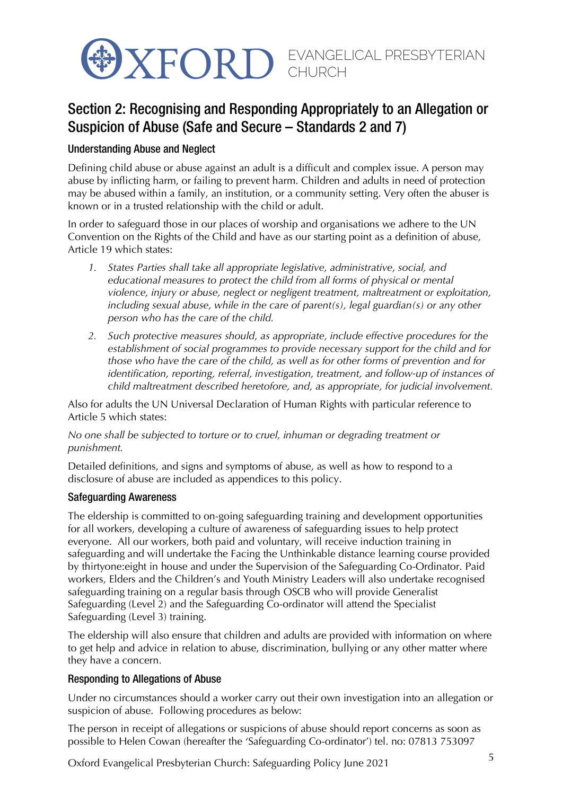

# Section 2: Recognising and Responding Appropriately to an Allegation or Suspicion of Abuse (Safe and Secure – Standards 2 and 7)

# Understanding Abuse and Neglect

Defining child abuse or abuse against an adult is a difficult and complex issue. A person may abuse by inflicting harm, or failing to prevent harm. Children and adults in need of protection may be abused within a family, an institution, or a community setting. Very often the abuser is known or in a trusted relationship with the child or adult.

In order to safeguard those in our places of worship and organisations we adhere to the UN Convention on the Rights of the Child and have as our starting point as a definition of abuse, Article 19 which states:

- *1. States Parties shall take all appropriate legislative, administrative, social, and educational measures to protect the child from all forms of physical or mental violence, injury or abuse, neglect or negligent treatment, maltreatment or exploitation, including sexual abuse, while in the care of parent(s), legal guardian(s) or any other person who has the care of the child.*
- *2. Such protective measures should, as appropriate, include effective procedures for the establishment of social programmes to provide necessary support for the child and for those who have the care of the child, as well as for other forms of prevention and for identification, reporting, referral, investigation, treatment, and follow-up of instances of child maltreatment described heretofore, and, as appropriate, for judicial involvement.*

Also for adults the UN Universal Declaration of Human Rights with particular reference to Article 5 which states:

## *No one shall be subjected to torture or to cruel, inhuman or degrading treatment or punishment.*

Detailed definitions, and signs and symptoms of abuse, as well as how to respond to a disclosure of abuse are included as appendices to this policy.

## Safeguarding Awareness

The eldership is committed to on-going safeguarding training and development opportunities for all workers, developing a culture of awareness of safeguarding issues to help protect everyone. All our workers, both paid and voluntary, will receive induction training in safeguarding and will undertake the Facing the Unthinkable distance learning course provided by thirtyone:eight in house and under the Supervision of the Safeguarding Co-Ordinator. Paid workers, Elders and the Children's and Youth Ministry Leaders will also undertake recognised safeguarding training on a regular basis through OSCB who will provide Generalist Safeguarding (Level 2) and the Safeguarding Co-ordinator will attend the Specialist Safeguarding (Level 3) training.

The eldership will also ensure that children and adults are provided with information on where to get help and advice in relation to abuse, discrimination, bullying or any other matter where they have a concern.

## Responding to Allegations of Abuse

Under no circumstances should a worker carry out their own investigation into an allegation or suspicion of abuse. Following procedures as below:

The person in receipt of allegations or suspicions of abuse should report concerns as soon as possible to Helen Cowan (hereafter the 'Safeguarding Co-ordinator') tel. no: 07813 753097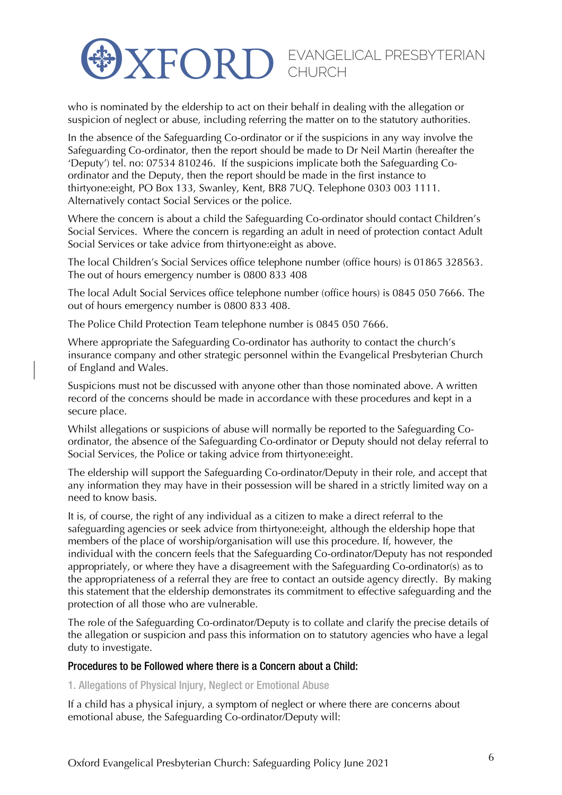

who is nominated by the eldership to act on their behalf in dealing with the allegation or suspicion of neglect or abuse, including referring the matter on to the statutory authorities.

In the absence of the Safeguarding Co-ordinator or if the suspicions in any way involve the Safeguarding Co-ordinator, then the report should be made to Dr Neil Martin (hereafter the 'Deputy') tel. no: 07534 810246. If the suspicions implicate both the Safeguarding Coordinator and the Deputy, then the report should be made in the first instance to thirtyone:eight, PO Box 133, Swanley, Kent, BR8 7UQ. Telephone 0303 003 1111. Alternatively contact Social Services or the police.

Where the concern is about a child the Safeguarding Co-ordinator should contact Children's Social Services. Where the concern is regarding an adult in need of protection contact Adult Social Services or take advice from thirtyone:eight as above.

The local Children's Social Services office telephone number (office hours) is 01865 328563. The out of hours emergency number is 0800 833 408

The local Adult Social Services office telephone number (office hours) is 0845 050 7666. The out of hours emergency number is 0800 833 408.

The Police Child Protection Team telephone number is 0845 050 7666.

Where appropriate the Safeguarding Co-ordinator has authority to contact the church's insurance company and other strategic personnel within the Evangelical Presbyterian Church of England and Wales.

Suspicions must not be discussed with anyone other than those nominated above. A written record of the concerns should be made in accordance with these procedures and kept in a secure place.

Whilst allegations or suspicions of abuse will normally be reported to the Safeguarding Coordinator, the absence of the Safeguarding Co-ordinator or Deputy should not delay referral to Social Services, the Police or taking advice from thirtyone:eight.

The eldership will support the Safeguarding Co-ordinator/Deputy in their role, and accept that any information they may have in their possession will be shared in a strictly limited way on a need to know basis.

It is, of course, the right of any individual as a citizen to make a direct referral to the safeguarding agencies or seek advice from thirtyone:eight, although the eldership hope that members of the place of worship/organisation will use this procedure. If, however, the individual with the concern feels that the Safeguarding Co-ordinator/Deputy has not responded appropriately, or where they have a disagreement with the Safeguarding Co-ordinator(s) as to the appropriateness of a referral they are free to contact an outside agency directly. By making this statement that the eldership demonstrates its commitment to effective safeguarding and the protection of all those who are vulnerable.

The role of the Safeguarding Co-ordinator/Deputy is to collate and clarify the precise details of the allegation or suspicion and pass this information on to statutory agencies who have a legal duty to investigate.

## Procedures to be Followed where there is a Concern about a Child:

1. Allegations of Physical Injury, Neglect or Emotional Abuse

If a child has a physical injury, a symptom of neglect or where there are concerns about emotional abuse, the Safeguarding Co-ordinator/Deputy will: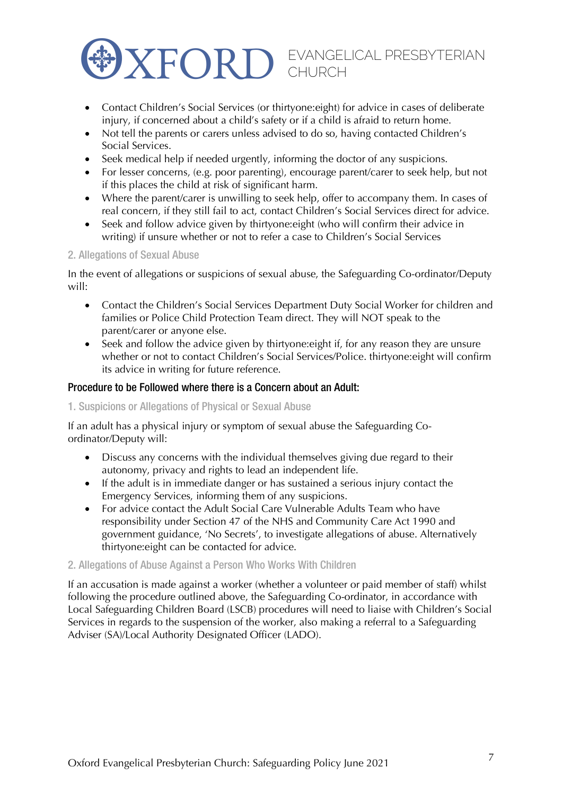

- Contact Children's Social Services (or thirtyone: eight) for advice in cases of deliberate injury, if concerned about a child's safety or if a child is afraid to return home.
- Not tell the parents or carers unless advised to do so, having contacted Children's Social Services.
- Seek medical help if needed urgently, informing the doctor of any suspicions.
- For lesser concerns, (e.g. poor parenting), encourage parent/carer to seek help, but not if this places the child at risk of significant harm.
- Where the parent/carer is unwilling to seek help, offer to accompany them. In cases of real concern, if they still fail to act, contact Children's Social Services direct for advice.
- Seek and follow advice given by thirtyone: eight (who will confirm their advice in writing) if unsure whether or not to refer a case to Children's Social Services

## 2. Allegations of Sexual Abuse

In the event of allegations or suspicions of sexual abuse, the Safeguarding Co-ordinator/Deputy will:

- Contact the Children's Social Services Department Duty Social Worker for children and families or Police Child Protection Team direct. They will NOT speak to the parent/carer or anyone else.
- Seek and follow the advice given by thirtyone: eight if, for any reason they are unsure whether or not to contact Children's Social Services/Police. thirtyone:eight will confirm its advice in writing for future reference.

## Procedure to be Followed where there is a Concern about an Adult:

#### 1. Suspicions or Allegations of Physical or Sexual Abuse

If an adult has a physical injury or symptom of sexual abuse the Safeguarding Coordinator/Deputy will:

- Discuss any concerns with the individual themselves giving due regard to their autonomy, privacy and rights to lead an independent life.
- If the adult is in immediate danger or has sustained a serious injury contact the Emergency Services, informing them of any suspicions.
- For advice contact the Adult Social Care Vulnerable Adults Team who have responsibility under Section 47 of the NHS and Community Care Act 1990 and government guidance, 'No Secrets', to investigate allegations of abuse. Alternatively thirtyone:eight can be contacted for advice.

#### 2. Allegations of Abuse Against a Person Who Works With Children

If an accusation is made against a worker (whether a volunteer or paid member of staff) whilst following the procedure outlined above, the Safeguarding Co-ordinator, in accordance with Local Safeguarding Children Board (LSCB) procedures will need to liaise with Children's Social Services in regards to the suspension of the worker, also making a referral to a Safeguarding Adviser (SA)/Local Authority Designated Officer (LADO).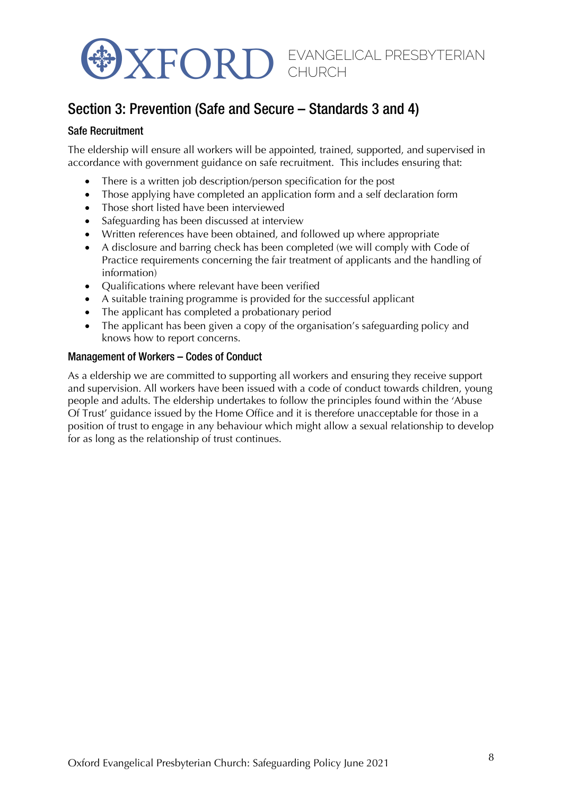

# Section 3: Prevention (Safe and Secure – Standards 3 and 4)

# Safe Recruitment

The eldership will ensure all workers will be appointed, trained, supported, and supervised in accordance with government guidance on safe recruitment. This includes ensuring that:

- There is a written job description/person specification for the post
- Those applying have completed an application form and a self declaration form
- Those short listed have been interviewed
- Safeguarding has been discussed at interview
- Written references have been obtained, and followed up where appropriate
- A disclosure and barring check has been completed (we will comply with Code of Practice requirements concerning the fair treatment of applicants and the handling of information)
- Oualifications where relevant have been verified
- A suitable training programme is provided for the successful applicant
- The applicant has completed a probationary period
- The applicant has been given a copy of the organisation's safeguarding policy and knows how to report concerns.

## Management of Workers – Codes of Conduct

As a eldership we are committed to supporting all workers and ensuring they receive support and supervision. All workers have been issued with a code of conduct towards children, young people and adults. The eldership undertakes to follow the principles found within the 'Abuse Of Trust' guidance issued by the Home Office and it is therefore unacceptable for those in a position of trust to engage in any behaviour which might allow a sexual relationship to develop for as long as the relationship of trust continues.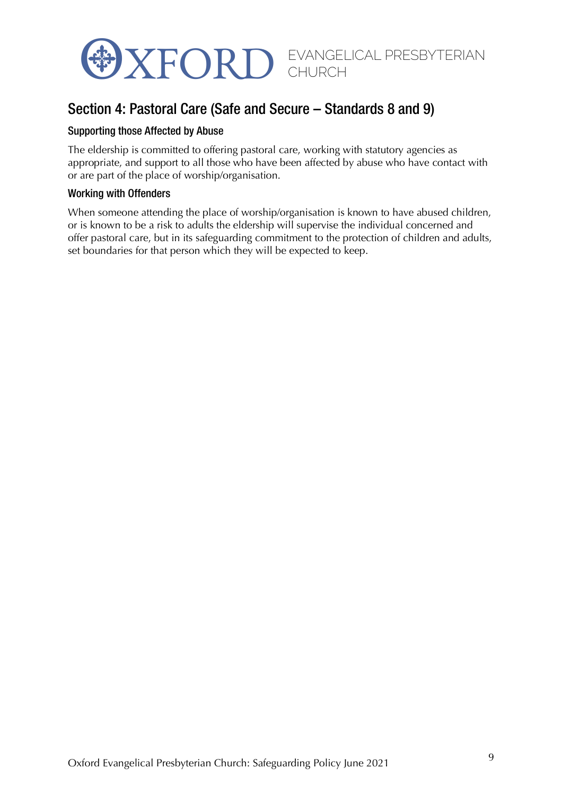

# Section 4: Pastoral Care (Safe and Secure – Standards 8 and 9)

# Supporting those Affected by Abuse

The eldership is committed to offering pastoral care, working with statutory agencies as appropriate, and support to all those who have been affected by abuse who have contact with or are part of the place of worship/organisation.

## Working with Offenders

When someone attending the place of worship/organisation is known to have abused children, or is known to be a risk to adults the eldership will supervise the individual concerned and offer pastoral care, but in its safeguarding commitment to the protection of children and adults, set boundaries for that person which they will be expected to keep.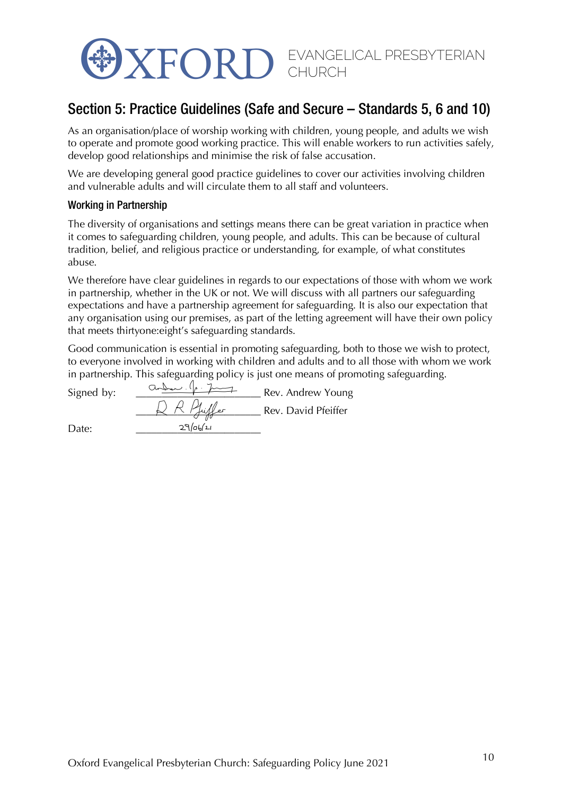

# Section 5: Practice Guidelines (Safe and Secure – Standards 5, 6 and 10)

As an organisation/place of worship working with children, young people, and adults we wish to operate and promote good working practice. This will enable workers to run activities safely, develop good relationships and minimise the risk of false accusation.

We are developing general good practice guidelines to cover our activities involving children and vulnerable adults and will circulate them to all staff and volunteers.

## Working in Partnership

The diversity of organisations and settings means there can be great variation in practice when it comes to safeguarding children, young people, and adults. This can be because of cultural tradition, belief, and religious practice or understanding, for example, of what constitutes abuse.

We therefore have clear guidelines in regards to our expectations of those with whom we work in partnership, whether in the UK or not. We will discuss with all partners our safeguarding expectations and have a partnership agreement for safeguarding. It is also our expectation that any organisation using our premises, as part of the letting agreement will have their own policy that meets thirtyone:eight's safeguarding standards.

Good communication is essential in promoting safeguarding, both to those we wish to protect, to everyone involved in working with children and adults and to all those with whom we work in partnership. This safeguarding policy is just one means of promoting safeguarding.

| Signed by: | $Onbig.   _0 \cdot \overline{h}$ | Rev. Andrew Young   |
|------------|----------------------------------|---------------------|
|            | $R$ Muller                       | Rev. David Pfeiffer |
| Date:      | 29/06/21                         |                     |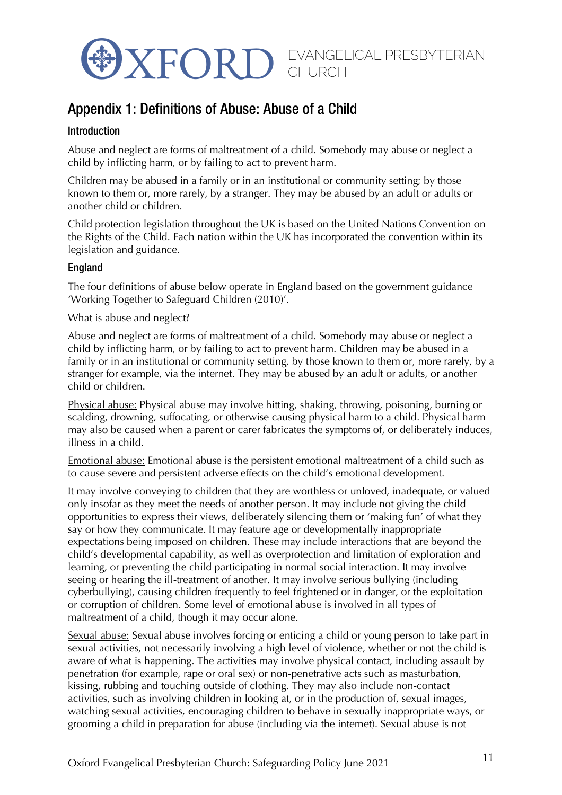

# Appendix 1: Definitions of Abuse: Abuse of a Child

# Introduction

Abuse and neglect are forms of maltreatment of a child. Somebody may abuse or neglect a child by inflicting harm, or by failing to act to prevent harm.

Children may be abused in a family or in an institutional or community setting; by those known to them or, more rarely, by a stranger. They may be abused by an adult or adults or another child or children.

Child protection legislation throughout the UK is based on the United Nations Convention on the Rights of the Child. Each nation within the UK has incorporated the convention within its legislation and guidance.

# England

The four definitions of abuse below operate in England based on the government guidance 'Working Together to Safeguard Children (2010)'.

## What is abuse and neglect?

Abuse and neglect are forms of maltreatment of a child. Somebody may abuse or neglect a child by inflicting harm, or by failing to act to prevent harm. Children may be abused in a family or in an institutional or community setting, by those known to them or, more rarely, by a stranger for example, via the internet. They may be abused by an adult or adults, or another child or children.

Physical abuse: Physical abuse may involve hitting, shaking, throwing, poisoning, burning or scalding, drowning, suffocating, or otherwise causing physical harm to a child. Physical harm may also be caused when a parent or carer fabricates the symptoms of, or deliberately induces, illness in a child.

Emotional abuse: Emotional abuse is the persistent emotional maltreatment of a child such as to cause severe and persistent adverse effects on the child's emotional development.

It may involve conveying to children that they are worthless or unloved, inadequate, or valued only insofar as they meet the needs of another person. It may include not giving the child opportunities to express their views, deliberately silencing them or 'making fun' of what they say or how they communicate. It may feature age or developmentally inappropriate expectations being imposed on children. These may include interactions that are beyond the child's developmental capability, as well as overprotection and limitation of exploration and learning, or preventing the child participating in normal social interaction. It may involve seeing or hearing the ill-treatment of another. It may involve serious bullying (including cyberbullying), causing children frequently to feel frightened or in danger, or the exploitation or corruption of children. Some level of emotional abuse is involved in all types of maltreatment of a child, though it may occur alone.

Sexual abuse: Sexual abuse involves forcing or enticing a child or young person to take part in sexual activities, not necessarily involving a high level of violence, whether or not the child is aware of what is happening. The activities may involve physical contact, including assault by penetration (for example, rape or oral sex) or non-penetrative acts such as masturbation, kissing, rubbing and touching outside of clothing. They may also include non-contact activities, such as involving children in looking at, or in the production of, sexual images, watching sexual activities, encouraging children to behave in sexually inappropriate ways, or grooming a child in preparation for abuse (including via the internet). Sexual abuse is not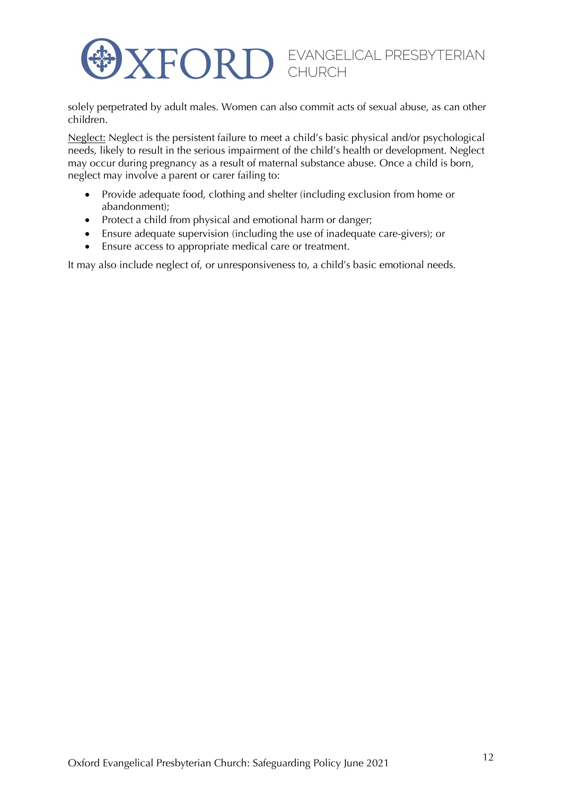

solely perpetrated by adult males. Women can also commit acts of sexual abuse, as can other children.

Neglect: Neglect is the persistent failure to meet a child's basic physical and/or psychological needs, likely to result in the serious impairment of the child's health or development. Neglect may occur during pregnancy as a result of maternal substance abuse. Once a child is born, neglect may involve a parent or carer failing to:

- Provide adequate food, clothing and shelter (including exclusion from home or abandonment);
- Protect a child from physical and emotional harm or danger;
- Ensure adequate supervision (including the use of inadequate care-givers); or
- Ensure access to appropriate medical care or treatment.

It may also include neglect of, or unresponsiveness to, a child's basic emotional needs.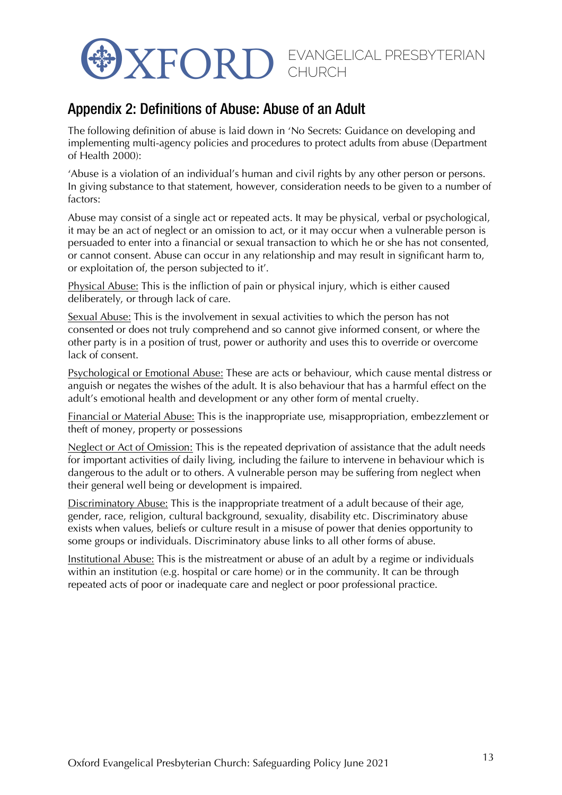

# Appendix 2: Definitions of Abuse: Abuse of an Adult

The following definition of abuse is laid down in 'No Secrets: Guidance on developing and implementing multi-agency policies and procedures to protect adults from abuse (Department of Health 2000):

'Abuse is a violation of an individual's human and civil rights by any other person or persons. In giving substance to that statement, however, consideration needs to be given to a number of factors:

Abuse may consist of a single act or repeated acts. It may be physical, verbal or psychological, it may be an act of neglect or an omission to act, or it may occur when a vulnerable person is persuaded to enter into a financial or sexual transaction to which he or she has not consented, or cannot consent. Abuse can occur in any relationship and may result in significant harm to, or exploitation of, the person subjected to it'.

Physical Abuse: This is the infliction of pain or physical injury, which is either caused deliberately, or through lack of care.

Sexual Abuse: This is the involvement in sexual activities to which the person has not consented or does not truly comprehend and so cannot give informed consent, or where the other party is in a position of trust, power or authority and uses this to override or overcome lack of consent.

Psychological or Emotional Abuse: These are acts or behaviour, which cause mental distress or anguish or negates the wishes of the adult. It is also behaviour that has a harmful effect on the adult's emotional health and development or any other form of mental cruelty.

Financial or Material Abuse: This is the inappropriate use, misappropriation, embezzlement or theft of money, property or possessions

Neglect or Act of Omission: This is the repeated deprivation of assistance that the adult needs for important activities of daily living, including the failure to intervene in behaviour which is dangerous to the adult or to others. A vulnerable person may be suffering from neglect when their general well being or development is impaired.

Discriminatory Abuse: This is the inappropriate treatment of a adult because of their age, gender, race, religion, cultural background, sexuality, disability etc. Discriminatory abuse exists when values, beliefs or culture result in a misuse of power that denies opportunity to some groups or individuals. Discriminatory abuse links to all other forms of abuse.

Institutional Abuse: This is the mistreatment or abuse of an adult by a regime or individuals within an institution (e.g. hospital or care home) or in the community. It can be through repeated acts of poor or inadequate care and neglect or poor professional practice.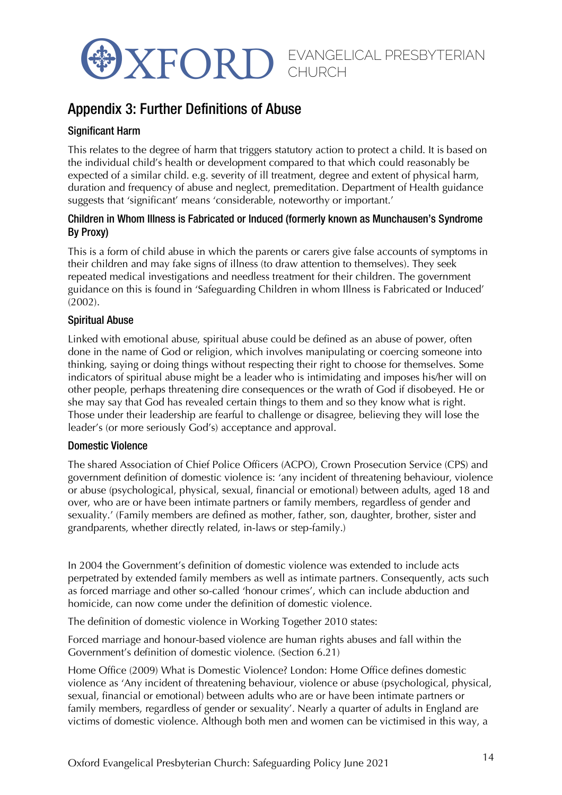

# Appendix 3: Further Definitions of Abuse

# Significant Harm

This relates to the degree of harm that triggers statutory action to protect a child. It is based on the individual child's health or development compared to that which could reasonably be expected of a similar child. e.g. severity of ill treatment, degree and extent of physical harm, duration and frequency of abuse and neglect, premeditation. Department of Health guidance suggests that 'significant' means 'considerable, noteworthy or important.'

# Children in Whom Illness is Fabricated or Induced (formerly known as Munchausen's Syndrome By Proxy)

This is a form of child abuse in which the parents or carers give false accounts of symptoms in their children and may fake signs of illness (to draw attention to themselves). They seek repeated medical investigations and needless treatment for their children. The government guidance on this is found in 'Safeguarding Children in whom Illness is Fabricated or Induced' (2002).

## Spiritual Abuse

Linked with emotional abuse, spiritual abuse could be defined as an abuse of power, often done in the name of God or religion, which involves manipulating or coercing someone into thinking, saying or doing things without respecting their right to choose for themselves. Some indicators of spiritual abuse might be a leader who is intimidating and imposes his/her will on other people, perhaps threatening dire consequences or the wrath of God if disobeyed. He or she may say that God has revealed certain things to them and so they know what is right. Those under their leadership are fearful to challenge or disagree, believing they will lose the leader's (or more seriously God's) acceptance and approval.

## Domestic Violence

The shared Association of Chief Police Officers (ACPO), Crown Prosecution Service (CPS) and government definition of domestic violence is: 'any incident of threatening behaviour, violence or abuse (psychological, physical, sexual, financial or emotional) between adults, aged 18 and over, who are or have been intimate partners or family members, regardless of gender and sexuality.' (Family members are defined as mother, father, son, daughter, brother, sister and grandparents, whether directly related, in-laws or step-family.)

In 2004 the Government's definition of domestic violence was extended to include acts perpetrated by extended family members as well as intimate partners. Consequently, acts such as forced marriage and other so-called 'honour crimes', which can include abduction and homicide, can now come under the definition of domestic violence.

The definition of domestic violence in Working Together 2010 states:

Forced marriage and honour-based violence are human rights abuses and fall within the Government's definition of domestic violence. (Section 6.21)

Home Office (2009) What is Domestic Violence? London: Home Office defines domestic violence as 'Any incident of threatening behaviour, violence or abuse (psychological, physical, sexual, financial or emotional) between adults who are or have been intimate partners or family members, regardless of gender or sexuality'. Nearly a quarter of adults in England are victims of domestic violence. Although both men and women can be victimised in this way, a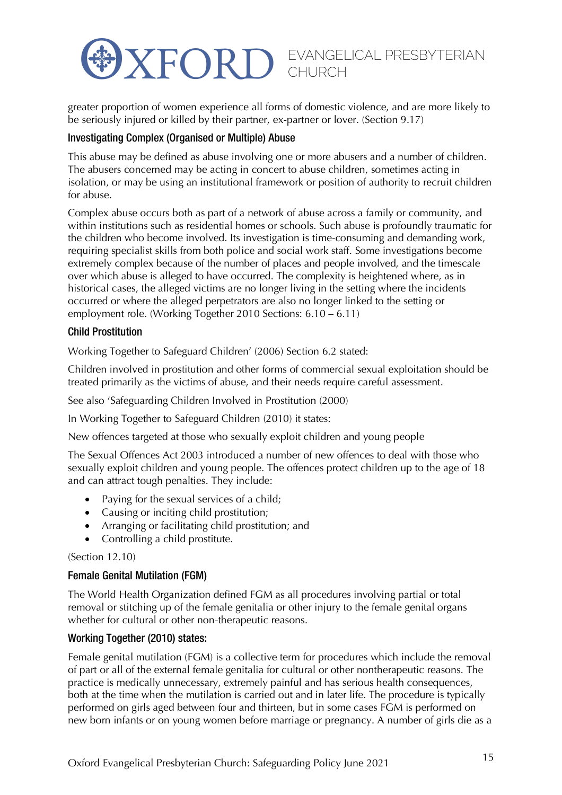

greater proportion of women experience all forms of domestic violence, and are more likely to be seriously injured or killed by their partner, ex-partner or lover. (Section 9.17)

# Investigating Complex (Organised or Multiple) Abuse

This abuse may be defined as abuse involving one or more abusers and a number of children. The abusers concerned may be acting in concert to abuse children, sometimes acting in isolation, or may be using an institutional framework or position of authority to recruit children for abuse.

Complex abuse occurs both as part of a network of abuse across a family or community, and within institutions such as residential homes or schools. Such abuse is profoundly traumatic for the children who become involved. Its investigation is time-consuming and demanding work, requiring specialist skills from both police and social work staff. Some investigations become extremely complex because of the number of places and people involved, and the timescale over which abuse is alleged to have occurred. The complexity is heightened where, as in historical cases, the alleged victims are no longer living in the setting where the incidents occurred or where the alleged perpetrators are also no longer linked to the setting or employment role. (Working Together 2010 Sections: 6.10 – 6.11)

# Child Prostitution

Working Together to Safeguard Children' (2006) Section 6.2 stated:

Children involved in prostitution and other forms of commercial sexual exploitation should be treated primarily as the victims of abuse, and their needs require careful assessment.

See also 'Safeguarding Children Involved in Prostitution (2000)

In Working Together to Safeguard Children (2010) it states:

New offences targeted at those who sexually exploit children and young people

The Sexual Offences Act 2003 introduced a number of new offences to deal with those who sexually exploit children and young people. The offences protect children up to the age of 18 and can attract tough penalties. They include:

- Paying for the sexual services of a child;
- Causing or inciting child prostitution;
- Arranging or facilitating child prostitution; and
- Controlling a child prostitute.

# (Section 12.10)

# Female Genital Mutilation (FGM)

The World Health Organization defined FGM as all procedures involving partial or total removal or stitching up of the female genitalia or other injury to the female genital organs whether for cultural or other non-therapeutic reasons.

# Working Together (2010) states:

Female genital mutilation (FGM) is a collective term for procedures which include the removal of part or all of the external female genitalia for cultural or other nontherapeutic reasons. The practice is medically unnecessary, extremely painful and has serious health consequences, both at the time when the mutilation is carried out and in later life. The procedure is typically performed on girls aged between four and thirteen, but in some cases FGM is performed on new born infants or on young women before marriage or pregnancy. A number of girls die as a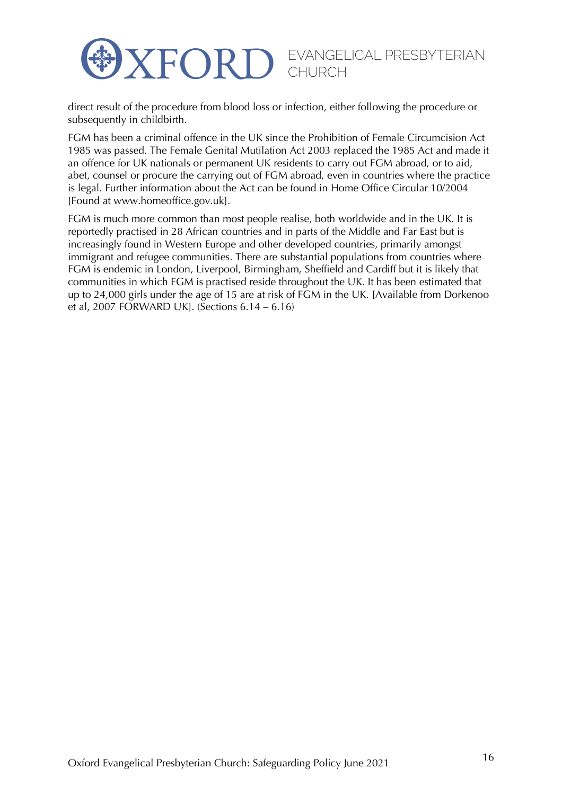

direct result of the procedure from blood loss or infection, either following the procedure or subsequently in childbirth.

FGM has been a criminal offence in the UK since the Prohibition of Female Circumcision Act 1985 was passed. The Female Genital Mutilation Act 2003 replaced the 1985 Act and made it an offence for UK nationals or permanent UK residents to carry out FGM abroad, or to aid, abet, counsel or procure the carrying out of FGM abroad, even in countries where the practice is legal. Further information about the Act can be found in Home Office Circular 10/2004 [Found at www.homeoffice.gov.uk].

FGM is much more common than most people realise, both worldwide and in the UK. It is reportedly practised in 28 African countries and in parts of the Middle and Far East but is increasingly found in Western Europe and other developed countries, primarily amongst immigrant and refugee communities. There are substantial populations from countries where FGM is endemic in London, Liverpool, Birmingham, Sheffield and Cardiff but it is likely that communities in which FGM is practised reside throughout the UK. It has been estimated that up to 24,000 girls under the age of 15 are at risk of FGM in the UK. [Available from Dorkenoo et al, 2007 FORWARD UK]. (Sections 6.14 – 6.16)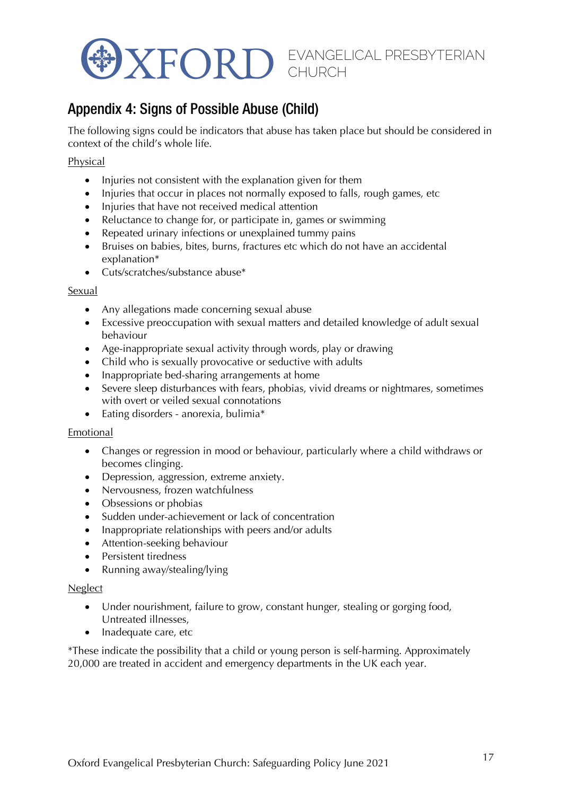

# Appendix 4: Signs of Possible Abuse (Child)

The following signs could be indicators that abuse has taken place but should be considered in context of the child's whole life.

## Physical

- Injuries not consistent with the explanation given for them
- Injuries that occur in places not normally exposed to falls, rough games, etc
- Injuries that have not received medical attention
- Reluctance to change for, or participate in, games or swimming
- Repeated urinary infections or unexplained tummy pains
- Bruises on babies, bites, burns, fractures etc which do not have an accidental explanation\*
- Cuts/scratches/substance abuse\*

## Sexual

- Any allegations made concerning sexual abuse
- Excessive preoccupation with sexual matters and detailed knowledge of adult sexual behaviour
- Age-inappropriate sexual activity through words, play or drawing
- Child who is sexually provocative or seductive with adults
- Inappropriate bed-sharing arrangements at home
- Severe sleep disturbances with fears, phobias, vivid dreams or nightmares, sometimes with overt or veiled sexual connotations
- Eating disorders anorexia, bulimia\*

## Emotional

- Changes or regression in mood or behaviour, particularly where a child withdraws or becomes clinging.
- Depression, aggression, extreme anxiety.
- Nervousness, frozen watchfulness
- Obsessions or phobias
- Sudden under-achievement or lack of concentration
- Inappropriate relationships with peers and/or adults
- Attention-seeking behaviour
- Persistent tiredness
- Running away/stealing/lying

## Neglect

- Under nourishment, failure to grow, constant hunger, stealing or gorging food, Untreated illnesses,
- Inadequate care, etc

\*These indicate the possibility that a child or young person is self-harming. Approximately 20,000 are treated in accident and emergency departments in the UK each year.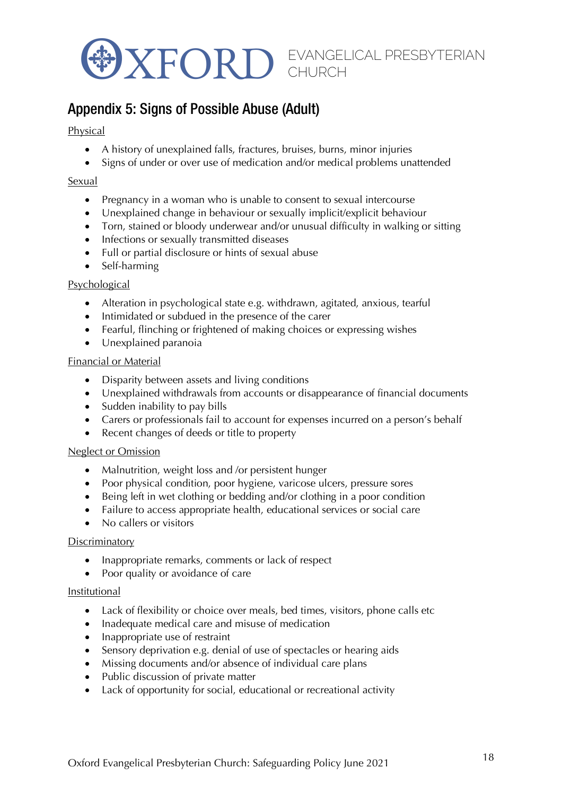

# Appendix 5: Signs of Possible Abuse (Adult)

## **Physical**

- A history of unexplained falls, fractures, bruises, burns, minor injuries
- Signs of under or over use of medication and/or medical problems unattended

## Sexual

- Pregnancy in a woman who is unable to consent to sexual intercourse
- Unexplained change in behaviour or sexually implicit/explicit behaviour
- Torn, stained or bloody underwear and/or unusual difficulty in walking or sitting
- Infections or sexually transmitted diseases
- Full or partial disclosure or hints of sexual abuse
- Self-harming

## **Psychological**

- Alteration in psychological state e.g. withdrawn, agitated, anxious, tearful
- Intimidated or subdued in the presence of the carer
- Fearful, flinching or frightened of making choices or expressing wishes
- Unexplained paranoia

## Financial or Material

- Disparity between assets and living conditions
- Unexplained withdrawals from accounts or disappearance of financial documents
- Sudden inability to pay bills
- Carers or professionals fail to account for expenses incurred on a person's behalf
- Recent changes of deeds or title to property

## Neglect or Omission

- Malnutrition, weight loss and /or persistent hunger
- Poor physical condition, poor hygiene, varicose ulcers, pressure sores
- Being left in wet clothing or bedding and/or clothing in a poor condition
- Failure to access appropriate health, educational services or social care
- No callers or visitors

## **Discriminatory**

- Inappropriate remarks, comments or lack of respect
- Poor quality or avoidance of care

## **Institutional**

- Lack of flexibility or choice over meals, bed times, visitors, phone calls etc
- Inadequate medical care and misuse of medication
- Inappropriate use of restraint
- Sensory deprivation e.g. denial of use of spectacles or hearing aids
- Missing documents and/or absence of individual care plans
- Public discussion of private matter
- Lack of opportunity for social, educational or recreational activity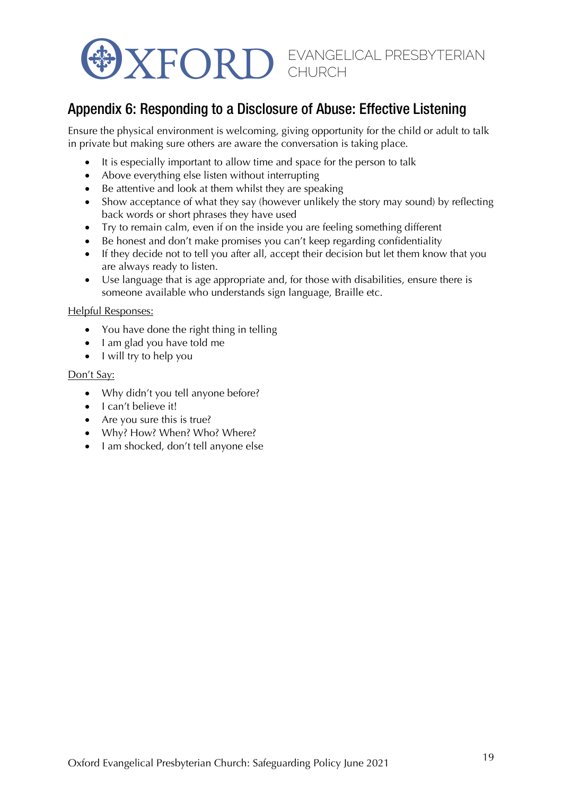

# Appendix 6: Responding to a Disclosure of Abuse: Effective Listening

Ensure the physical environment is welcoming, giving opportunity for the child or adult to talk in private but making sure others are aware the conversation is taking place.

- It is especially important to allow time and space for the person to talk
- Above everything else listen without interrupting
- Be attentive and look at them whilst they are speaking
- Show acceptance of what they say (however unlikely the story may sound) by reflecting back words or short phrases they have used
- Try to remain calm, even if on the inside you are feeling something different
- Be honest and don't make promises you can't keep regarding confidentiality
- If they decide not to tell you after all, accept their decision but let them know that you are always ready to listen.
- Use language that is age appropriate and, for those with disabilities, ensure there is someone available who understands sign language, Braille etc.

## Helpful Responses:

- You have done the right thing in telling
- I am glad you have told me
- I will try to help you

## Don't Say:

- Why didn't you tell anyone before?
- I can't believe it!
- Are you sure this is true?
- Why? How? When? Who? Where?
- I am shocked, don't tell anyone else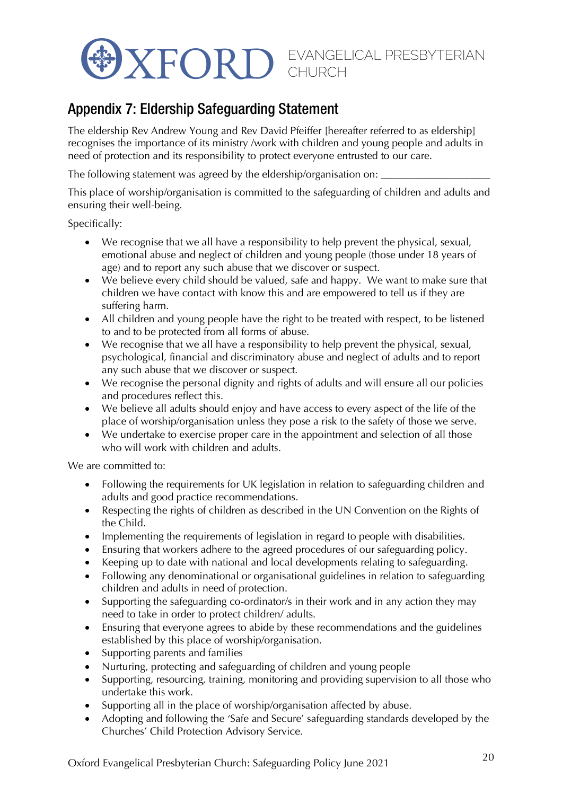

# Appendix 7: Eldership Safeguarding Statement

The eldership Rev Andrew Young and Rev David Pfeiffer [hereafter referred to as eldership] recognises the importance of its ministry /work with children and young people and adults in need of protection and its responsibility to protect everyone entrusted to our care.

The following statement was agreed by the eldership/organisation on:

This place of worship/organisation is committed to the safeguarding of children and adults and ensuring their well-being.

Specifically:

- We recognise that we all have a responsibility to help prevent the physical, sexual, emotional abuse and neglect of children and young people (those under 18 years of age) and to report any such abuse that we discover or suspect.
- We believe every child should be valued, safe and happy. We want to make sure that children we have contact with know this and are empowered to tell us if they are suffering harm.
- All children and young people have the right to be treated with respect, to be listened to and to be protected from all forms of abuse.
- We recognise that we all have a responsibility to help prevent the physical, sexual, psychological, financial and discriminatory abuse and neglect of adults and to report any such abuse that we discover or suspect.
- We recognise the personal dignity and rights of adults and will ensure all our policies and procedures reflect this.
- We believe all adults should enjoy and have access to every aspect of the life of the place of worship/organisation unless they pose a risk to the safety of those we serve.
- We undertake to exercise proper care in the appointment and selection of all those who will work with children and adults.

We are committed to:

- Following the requirements for UK legislation in relation to safeguarding children and adults and good practice recommendations.
- Respecting the rights of children as described in the UN Convention on the Rights of the Child.
- Implementing the requirements of legislation in regard to people with disabilities.
- Ensuring that workers adhere to the agreed procedures of our safeguarding policy.
- Keeping up to date with national and local developments relating to safeguarding.
- Following any denominational or organisational guidelines in relation to safeguarding children and adults in need of protection.
- Supporting the safeguarding co-ordinator/s in their work and in any action they may need to take in order to protect children/ adults.
- Ensuring that everyone agrees to abide by these recommendations and the guidelines established by this place of worship/organisation.
- Supporting parents and families
- Nurturing, protecting and safeguarding of children and young people
- Supporting, resourcing, training, monitoring and providing supervision to all those who undertake this work.
- Supporting all in the place of worship/organisation affected by abuse.
- Adopting and following the 'Safe and Secure' safeguarding standards developed by the Churches' Child Protection Advisory Service.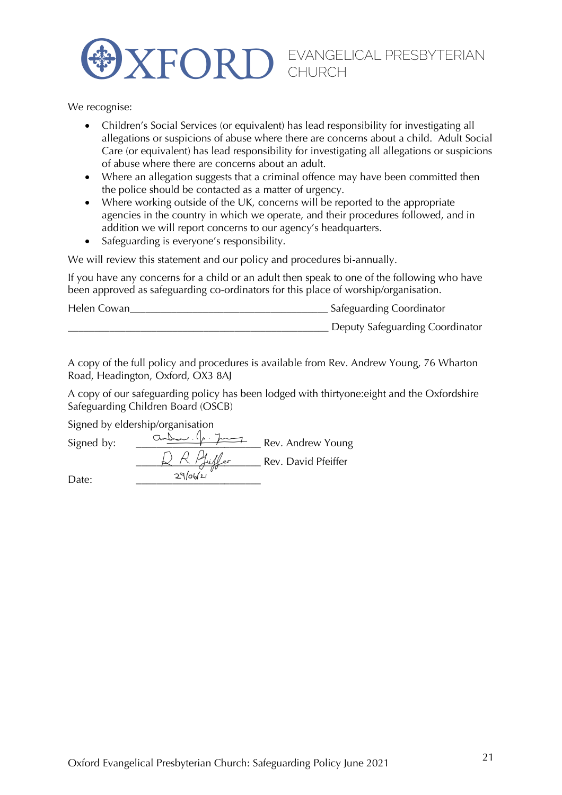

We recognise:

- Children's Social Services (or equivalent) has lead responsibility for investigating all allegations or suspicions of abuse where there are concerns about a child. Adult Social Care (or equivalent) has lead responsibility for investigating all allegations or suspicions of abuse where there are concerns about an adult.
- Where an allegation suggests that a criminal offence may have been committed then the police should be contacted as a matter of urgency.
- Where working outside of the UK, concerns will be reported to the appropriate agencies in the country in which we operate, and their procedures followed, and in addition we will report concerns to our agency's headquarters.
- Safeguarding is everyone's responsibility.

We will review this statement and our policy and procedures bi-annually.

If you have any concerns for a child or an adult then speak to one of the following who have been approved as safeguarding co-ordinators for this place of worship/organisation.

| Helen Cowan | Safeguarding Coordinator        |
|-------------|---------------------------------|
|             | Deputy Safeguarding Coordinator |

A copy of the full policy and procedures is available from Rev. Andrew Young, 76 Wharton Road, Headington, Oxford, OX3 8AJ

A copy of our safeguarding policy has been lodged with thirtyone:eight and the Oxfordshire Safeguarding Children Board (OSCB)

Signed by eldership/organisation

Signed by:  $\frac{a_1b_2...b_n}{b_1}$  Rev. Andrew Young Lacken Bavid Pfeiffer Date: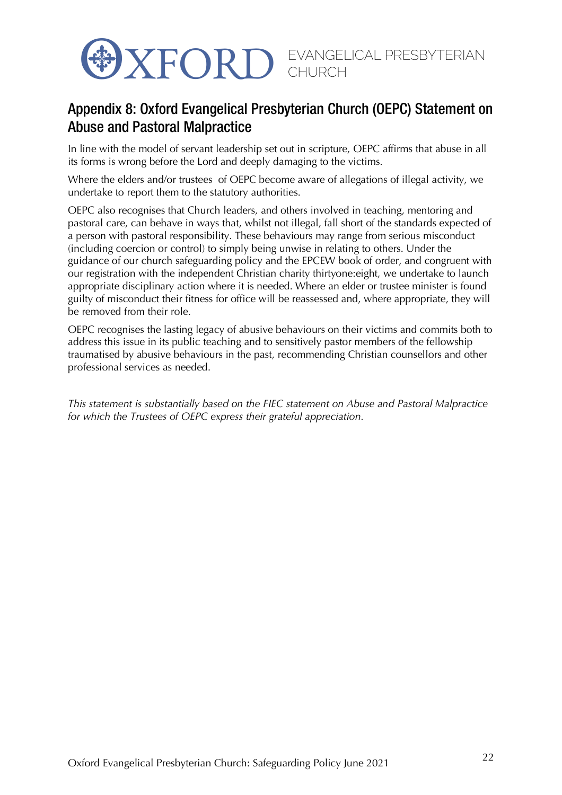

# Appendix 8: Oxford Evangelical Presbyterian Church (OEPC) Statement on Abuse and Pastoral Malpractice

In line with the model of servant leadership set out in scripture, OEPC affirms that abuse in all its forms is wrong before the Lord and deeply damaging to the victims.

Where the elders and/or trustees of OEPC become aware of allegations of illegal activity, we undertake to report them to the statutory authorities.

OEPC also recognises that Church leaders, and others involved in teaching, mentoring and pastoral care, can behave in ways that, whilst not illegal, fall short of the standards expected of a person with pastoral responsibility. These behaviours may range from serious misconduct (including coercion or control) to simply being unwise in relating to others. Under the guidance of our church safeguarding policy and the EPCEW book of order, and congruent with our registration with the independent Christian charity thirtyone:eight, we undertake to launch appropriate disciplinary action where it is needed. Where an elder or trustee minister is found guilty of misconduct their fitness for office will be reassessed and, where appropriate, they will be removed from their role.

OEPC recognises the lasting legacy of abusive behaviours on their victims and commits both to address this issue in its public teaching and to sensitively pastor members of the fellowship traumatised by abusive behaviours in the past, recommending Christian counsellors and other professional services as needed.

*This statement is substantially based on the FIEC statement on Abuse and Pastoral Malpractice for which the Trustees of OEPC express their grateful appreciation.*